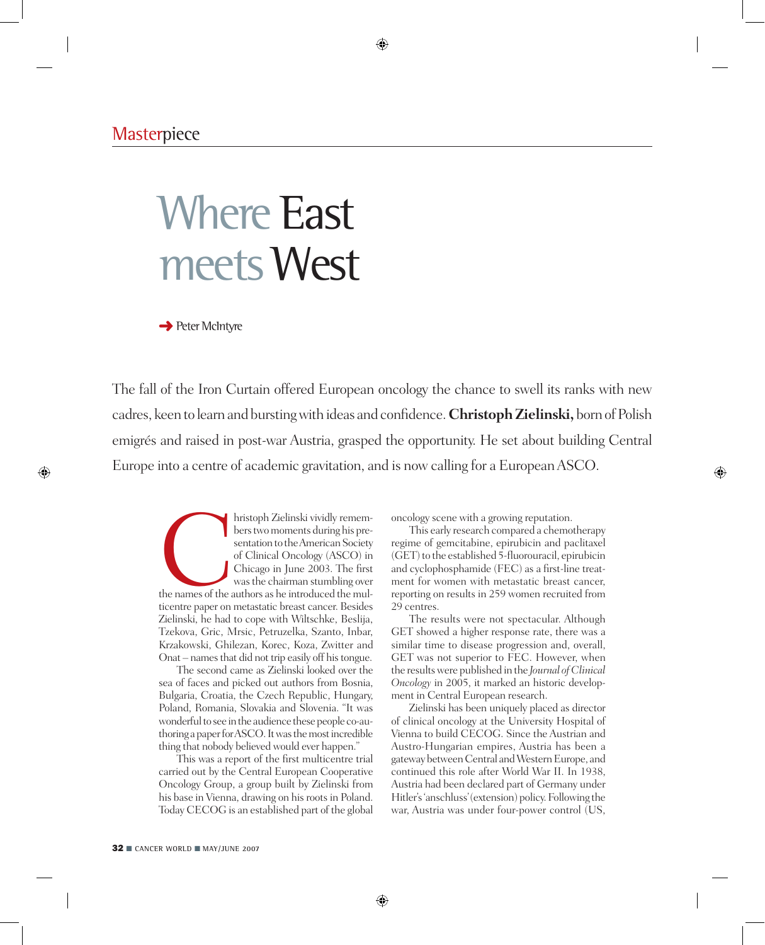# Where East meets West

 $\rightarrow$  Peter McIntyre

The fall of the Iron Curtain offered European oncology the chance to swell its ranks with new cadres, keen to learn and bursting with ideas and confidence. **Christoph Zielinski,** born of Polish emigrés and raised in post-war Austria, grasped the opportunity. He set about building Central Europe into a centre of academic gravitation, and is now calling for a European ASCO.

hristoph Zielinski vividly remem-<br>bers two moments during his pre-<br>sentation to the American Society<br>of Clinical Oncology (ASCO) in<br>Chicago in June 2003. The first<br>was the chairman stumbling over<br>the names of the authors a bers two moments during his presentation to the American Society of Clinical Oncology (ASCO) in Chicago in June 2003. The first was the chairman stumbling over ticentre paper on metastatic breast cancer. Besides Zielinski, he had to cope with Wiltschke, Beslija, Tzekova, Gric, Mrsic, Petruzelka, Szanto, Inbar, Krzakowski, Ghilezan, Korec, Koza, Zwitter and Onat – names that did not trip easily off his tongue.

The second came as Zielinski looked over the sea of faces and picked out authors from Bosnia, Bulgaria, Croatia, the Czech Republic, Hungary, Poland, Romania, Slovakia and Slovenia. "It was wonderful to see in the audience these people co-authoring a paper for ASCO. It was the most incredible thing that nobody believed would ever happen."

This was a report of the first multicentre trial carried out by the Central European Cooperative Oncology Group, a group built by Zielinski from his base in Vienna, drawing on his roots in Poland. Today CECOG is an established part of the global oncology scene with a growing reputation.

This early research compared a chemotherapy regime of gemcitabine, epirubicin and paclitaxel (GET) to the established 5-fluorouracil, epirubicin and cyclophosphamide (FEC) as a first-line treatment for women with metastatic breast cancer, reporting on results in 259 women recruited from 29 centres.

The results were not spectacular. Although GET showed a higher response rate, there was a similar time to disease progression and, overall, GET was not superior to FEC. However, when the results were published in the *Journal of Clinical Oncology* in 2005, it marked an historic development in Central European research.

Zielinski has been uniquely placed as director of clinical oncology at the University Hospital of Vienna to build CECOG. Since the Austrian and Austro-Hungarian empires, Austria has been a gateway between Central and Western Europe, and continued this role after World War II. In 1938, Austria had been declared part of Germany under Hitler's 'anschluss' (extension) policy. Following the war, Austria was under four-power control (US,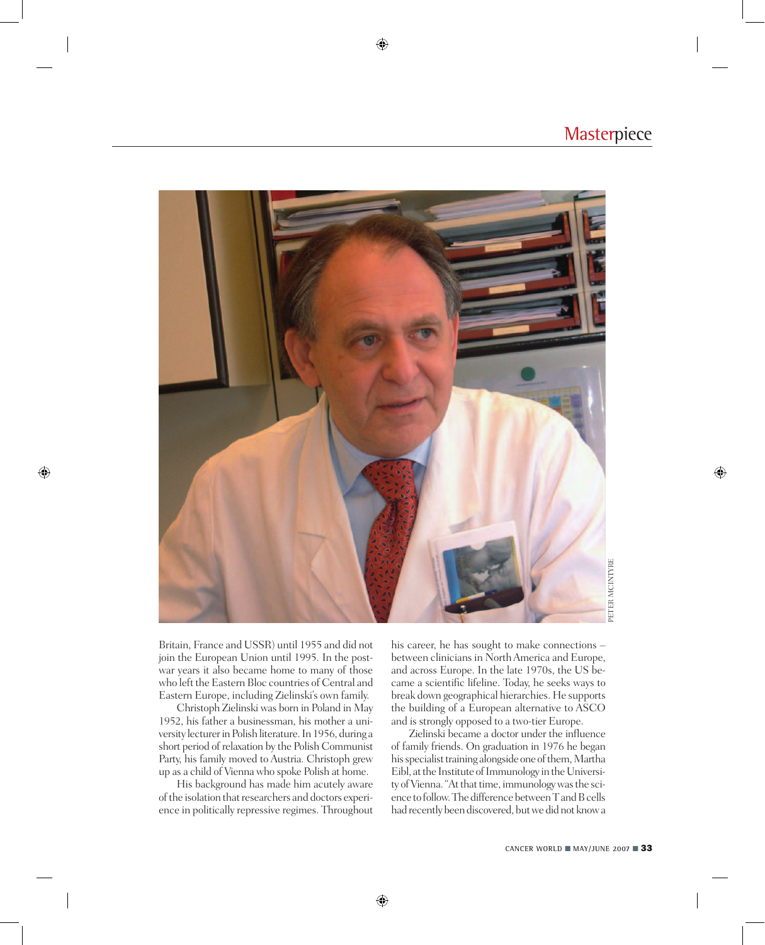

Britain, France and USSR) until 1955 and did not join the European Union until 1995. In the postwar years it also became home to many of those who left the Eastern Bloc countries of Central and Eastern Europe, including Zielinski's own family.

Christoph Zielinski was born in Poland in May 1952, his father a businessman, his mother a university lecturer in Polish literature. In 1956, during a short period of relaxation by the Polish Communist Party, his family moved to Austria. Christoph grew up as a child of Vienna who spoke Polish at home.

His background has made him acutely aware of the isolation that researchers and doctors experience in politically repressive regimes. Throughout his career, he has sought to make connections – between clinicians in North America and Europe, and across Europe. In the late 1970s, the US became a scientific lifeline. Today, he seeks ways to break down geographical hierarchies. He supports the building of a European alternative to ASCO and is strongly opposed to a two-tier Europe.

Zielinski became a doctor under the influence of family friends. On graduation in 1976 he began his specialist training alongside one of them, Martha Eibl, at the Institute of Immunology in the University of Vienna. "At that time, immunology was the science to follow. The difference between T and B cells had recently been discovered, but we did not know a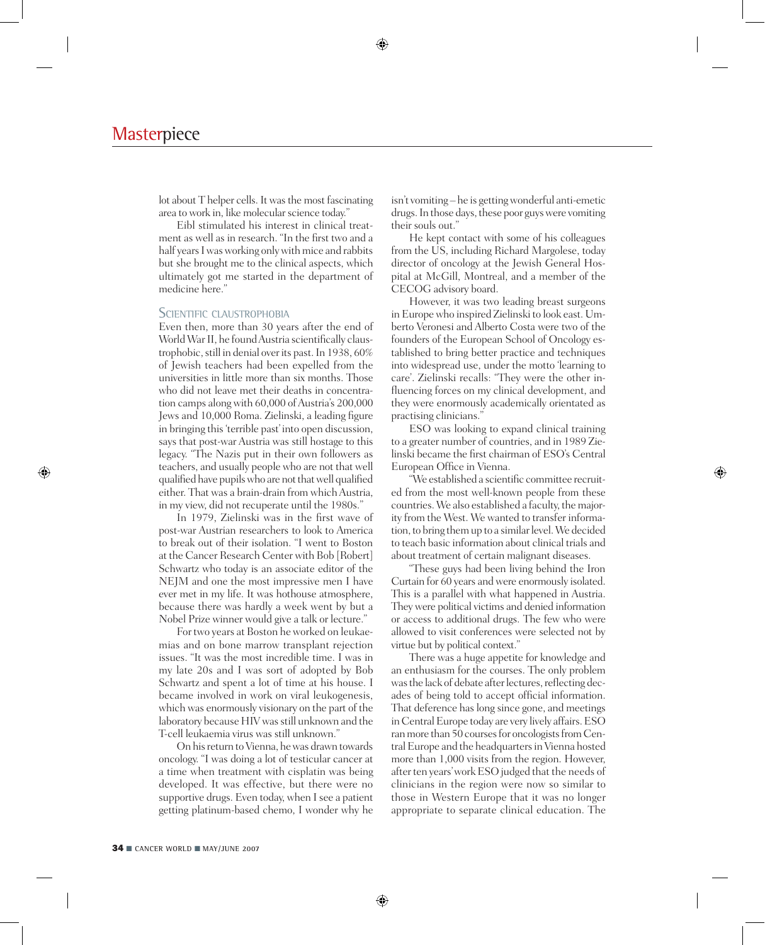lot about T helper cells. It was the most fascinating area to work in, like molecular science today."

Eibl stimulated his interest in clinical treatment as well as in research. "In the first two and a half years I was working only with mice and rabbits but she brought me to the clinical aspects, which ultimately got me started in the department of medicine here."

### SCIENTIFIC CLAUSTROPHOBIA

Even then, more than 30 years after the end of World War II, he found Austria scientifically claustrophobic, still in denial over its past. In 1938, 60% of Jewish teachers had been expelled from the universities in little more than six months. Those who did not leave met their deaths in concentration camps along with 60,000 of Austria's 200,000 Jews and 10,000 Roma. Zielinski, a leading figure in bringing this 'terrible past' into open discussion, says that post-war Austria was still hostage to this legacy. "The Nazis put in their own followers as teachers, and usually people who are not that well qualified have pupils who are not that well qualified either. That was a brain-drain from which Austria, in my view, did not recuperate until the 1980s."

In 1979, Zielinski was in the first wave of post-war Austrian researchers to look to America to break out of their isolation. "I went to Boston at the Cancer Research Center with Bob [Robert] Schwartz who today is an associate editor of the NEJM and one the most impressive men I have ever met in my life. It was hothouse atmosphere, because there was hardly a week went by but a Nobel Prize winner would give a talk or lecture."

For two years at Boston he worked on leukaemias and on bone marrow transplant rejection issues. "It was the most incredible time. I was in my late 20s and I was sort of adopted by Bob Schwartz and spent a lot of time at his house. I became involved in work on viral leukogenesis, which was enormously visionary on the part of the laboratory because HIV was still unknown and the T-cell leukaemia virus was still unknown."

On his return to Vienna, he was drawn towards oncology. "I was doing a lot of testicular cancer at a time when treatment with cisplatin was being developed. It was effective, but there were no supportive drugs. Even today, when I see a patient getting platinum-based chemo, I wonder why he isn't vomiting – he is getting wonderful anti-emetic drugs. In those days, these poor guys were vomiting their souls out."

He kept contact with some of his colleagues from the US, including Richard Margolese, today director of oncology at the Jewish General Hospital at McGill, Montreal, and a member of the CECOG advisory board.

However, it was two leading breast surgeons in Europe who inspired Zielinski to look east. Umberto Veronesi and Alberto Costa were two of the founders of the European School of Oncology established to bring better practice and techniques into widespread use, under the motto 'learning to care'. Zielinski recalls: "They were the other influencing forces on my clinical development, and they were enormously academically orientated as practising clinicians."

ESO was looking to expand clinical training to a greater number of countries, and in 1989 Zielinski became the first chairman of ESO's Central European Office in Vienna.

"We established a scientific committee recruited from the most well-known people from these countries. We also established a faculty, the majority from the West. We wanted to transfer information, to bring them up to a similar level. We decided to teach basic information about clinical trials and about treatment of certain malignant diseases.

"These guys had been living behind the Iron Curtain for 60 years and were enormously isolated. This is a parallel with what happened in Austria. They were political victims and denied information or access to additional drugs. The few who were allowed to visit conferences were selected not by virtue but by political context."

There was a huge appetite for knowledge and an enthusiasm for the courses. The only problem was the lack of debate after lectures, reflecting decades of being told to accept official information. That deference has long since gone, and meetings in Central Europe today are very lively affairs. ESO ran more than 50 courses for oncologists from Central Europe and the headquarters in Vienna hosted more than 1,000 visits from the region. However, after ten years' work ESO judged that the needs of clinicians in the region were now so similar to those in Western Europe that it was no longer appropriate to separate clinical education. The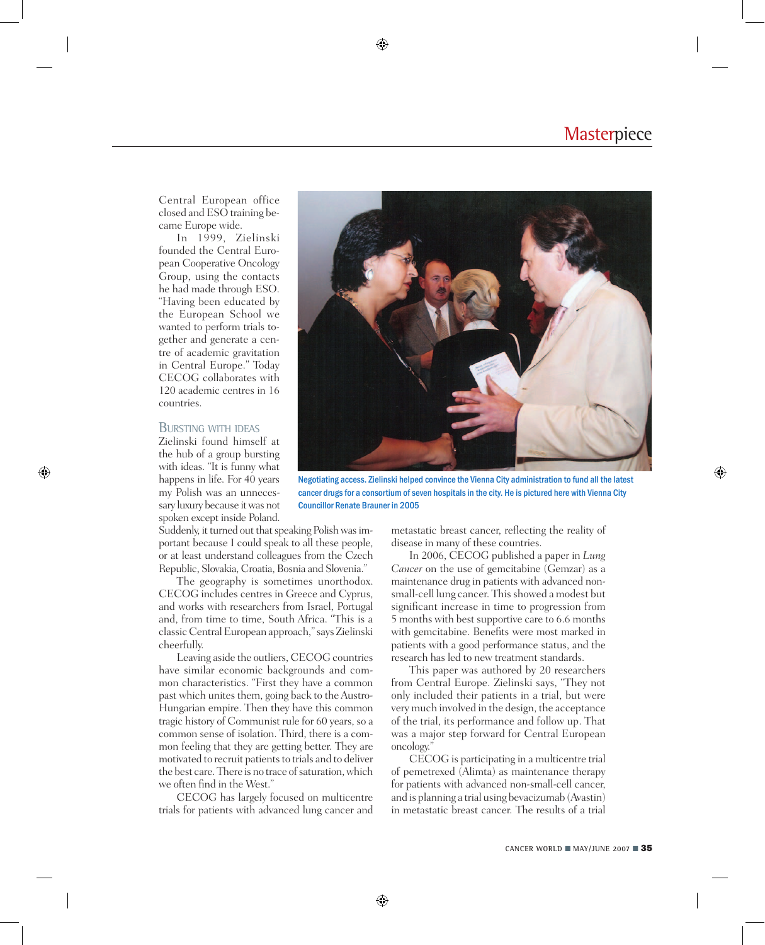Central European office closed and ESO training became Europe wide.

In 1999, Zielinski founded the Central European Cooperative Oncology Group, using the contacts he had made through ESO. "Having been educated by the European School we wanted to perform trials together and generate a centre of academic gravitation in Central Europe." Today CECOG collaborates with 120 academic centres in 16 countries.

### Bursting with ideas

Zielinski found himself at the hub of a group bursting with ideas. "It is funny what happens in life. For 40 years my Polish was an unnecessary luxury because it was not spoken except inside Poland.

Suddenly, it turned out that speaking Polish was important because I could speak to all these people, or at least understand colleagues from the Czech Republic, Slovakia, Croatia, Bosnia and Slovenia."

The geography is sometimes unorthodox. CECOG includes centres in Greece and Cyprus, and works with researchers from Israel, Portugal and, from time to time, South Africa. "This is a classic Central European approach," says Zielinski cheerfully.

Leaving aside the outliers, CECOG countries have similar economic backgrounds and common characteristics. "First they have a common past which unites them, going back to the Austro-Hungarian empire. Then they have this common tragic history of Communist rule for 60 years, so a common sense of isolation. Third, there is a common feeling that they are getting better. They are motivated to recruit patients to trials and to deliver the best care. There is no trace of saturation, which we often find in the West.'

CECOG has largely focused on multicentre trials for patients with advanced lung cancer and



Negotiating access. Zielinski helped convince the Vienna City administration to fund all the latest cancer drugs for a consortium of seven hospitals in the city. He is pictured here with Vienna City Councillor Renate Brauner in 2005

metastatic breast cancer, reflecting the reality of disease in many of these countries.

In 2006, CECOG published a paper in *Lung Cancer* on the use of gemcitabine (Gemzar) as a maintenance drug in patients with advanced nonsmall-cell lung cancer. This showed a modest but significant increase in time to progression from 5 months with best supportive care to 6.6 months with gemcitabine. Benefits were most marked in patients with a good performance status, and the research has led to new treatment standards.

This paper was authored by 20 researchers from Central Europe. Zielinski says, "They not only included their patients in a trial, but were very much involved in the design, the acceptance of the trial, its performance and follow up. That was a major step forward for Central European oncology."

CECOG is participating in a multicentre trial of pemetrexed (Alimta) as maintenance therapy for patients with advanced non-small-cell cancer, and is planning a trial using bevacizumab (Avastin) in metastatic breast cancer. The results of a trial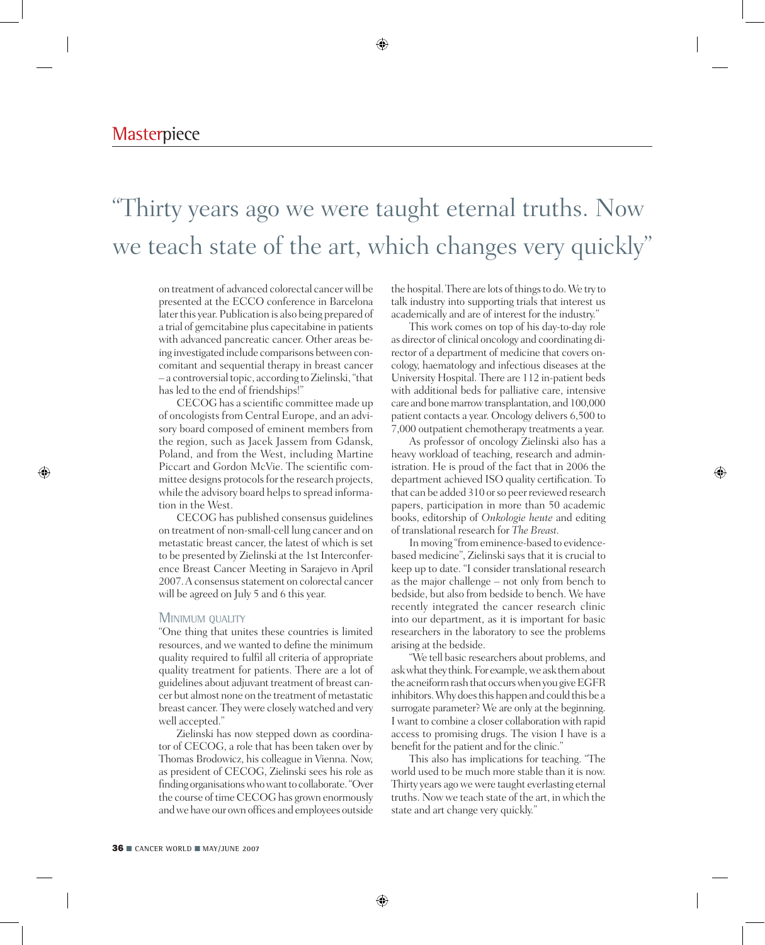## "Thirty years ago we were taught eternal truths. Now we teach state of the art, which changes very quickly"

on treatment of advanced colorectal cancer will be presented at the ECCO conference in Barcelona later this year. Publication is also being prepared of a trial of gemcitabine plus capecitabine in patients with advanced pancreatic cancer. Other areas being investigated include comparisons between concomitant and sequential therapy in breast cancer – a controversial topic, according to Zielinski, "that has led to the end of friendships!"

CECOG has a scientific committee made up of oncologists from Central Europe, and an advisory board composed of eminent members from the region, such as Jacek Jassem from Gdansk, Poland, and from the West, including Martine Piccart and Gordon McVie. The scientific committee designs protocols for the research projects, while the advisory board helps to spread information in the West.

CECOG has published consensus guidelines on treatment of non-small-cell lung cancer and on metastatic breast cancer, the latest of which is set to be presented by Zielinski at the 1st Interconference Breast Cancer Meeting in Sarajevo in April 2007. A consensus statement on colorectal cancer will be agreed on July 5 and 6 this year.

#### MINIMUM QUALITY

"One thing that unites these countries is limited resources, and we wanted to define the minimum quality required to fulfil all criteria of appropriate quality treatment for patients. There are a lot of guidelines about adjuvant treatment of breast cancer but almost none on the treatment of metastatic breast cancer. They were closely watched and very well accepted."

Zielinski has now stepped down as coordinator of CECOG, a role that has been taken over by Thomas Brodowicz, his colleague in Vienna. Now, as president of CECOG, Zielinski sees his role as finding organisations who want to collaborate. "Over the course of time CECOG has grown enormously and we have our own offices and employees outside the hospital. There are lots of things to do. We try to talk industry into supporting trials that interest us academically and are of interest for the industry."

This work comes on top of his day-to-day role as director of clinical oncology and coordinating director of a department of medicine that covers oncology, haematology and infectious diseases at the University Hospital. There are 112 in-patient beds with additional beds for palliative care, intensive care and bone marrow transplantation, and 100,000 patient contacts a year. Oncology delivers 6,500 to 7,000 outpatient chemotherapy treatments a year.

As professor of oncology Zielinski also has a heavy workload of teaching, research and administration. He is proud of the fact that in 2006 the department achieved ISO quality certification. To that can be added 310 or so peer reviewed research papers, participation in more than 50 academic books, editorship of *Onkologie heute* and editing of translational research for *The Breast.* 

In moving "from eminence-based to evidencebased medicine", Zielinski says that it is crucial to keep up to date. "I consider translational research as the major challenge – not only from bench to bedside, but also from bedside to bench. We have recently integrated the cancer research clinic into our department, as it is important for basic researchers in the laboratory to see the problems arising at the bedside.

"We tell basic researchers about problems, and ask what they think. For example, we ask them about the acneiform rash that occurs when you give EGFR inhibitors. Why does this happen and could this be a surrogate parameter? We are only at the beginning. I want to combine a closer collaboration with rapid access to promising drugs. The vision I have is a benefit for the patient and for the clinic."

This also has implications for teaching. "The world used to be much more stable than it is now. Thirty years ago we were taught everlasting eternal truths. Now we teach state of the art, in which the state and art change very quickly."